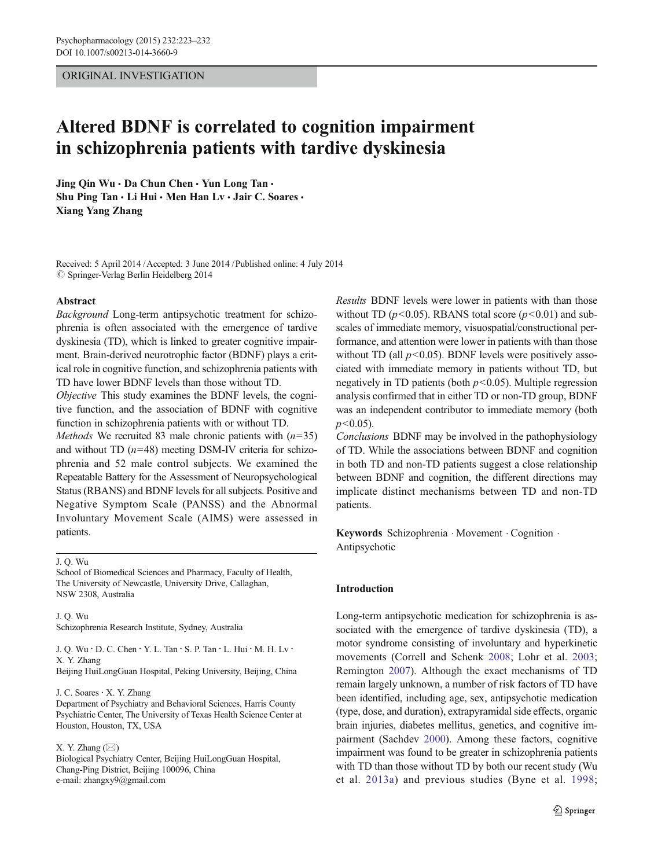## ORIGINAL INVESTIGATION

# Altered BDNF is correlated to cognition impairment in schizophrenia patients with tardive dyskinesia

Jing Qin Wu · Da Chun Chen · Yun Long Tan · Shu Ping Tan · Li Hui · Men Han Lv · Jair C. Soares · Xiang Yang Zhang

Received: 5 April 2014 /Accepted: 3 June 2014 /Published online: 4 July 2014  $\oslash$  Springer-Verlag Berlin Heidelberg 2014

# Abstract

Background Long-term antipsychotic treatment for schizophrenia is often associated with the emergence of tardive dyskinesia (TD), which is linked to greater cognitive impairment. Brain-derived neurotrophic factor (BDNF) plays a critical role in cognitive function, and schizophrenia patients with TD have lower BDNF levels than those without TD.

Objective This study examines the BDNF levels, the cognitive function, and the association of BDNF with cognitive function in schizophrenia patients with or without TD.

*Methods* We recruited 83 male chronic patients with  $(n=35)$ and without TD  $(n=48)$  meeting DSM-IV criteria for schizophrenia and 52 male control subjects. We examined the Repeatable Battery for the Assessment of Neuropsychological Status (RBANS) and BDNF levels for all subjects. Positive and Negative Symptom Scale (PANSS) and the Abnormal Involuntary Movement Scale (AIMS) were assessed in patients.

## J. Q. Wu

School of Biomedical Sciences and Pharmacy, Faculty of Health, The University of Newcastle, University Drive, Callaghan, NSW 2308, Australia

## J. Q. Wu

Schizophrenia Research Institute, Sydney, Australia

J. Q. Wu : D. C. Chen : Y. L. Tan : S. P. Tan : L. Hui : M. H. Lv : X. Y. Zhang

Beijing HuiLongGuan Hospital, Peking University, Beijing, China

### J. C. Soares  $\cdot$  X. Y. Zhang

Department of Psychiatry and Behavioral Sciences, Harris County Psychiatric Center, The University of Texas Health Science Center at Houston, Houston, TX, USA

# X. Y. Zhang  $(\boxtimes)$

Biological Psychiatry Center, Beijing HuiLongGuan Hospital, Chang-Ping District, Beijing 100096, China e-mail: zhangxy9@gmail.com

Results BDNF levels were lower in patients with than those without TD ( $p$ <0.05). RBANS total score ( $p$ <0.01) and subscales of immediate memory, visuospatial/constructional performance, and attention were lower in patients with than those without TD (all  $p<0.05$ ). BDNF levels were positively associated with immediate memory in patients without TD, but negatively in TD patients (both  $p$ <0.05). Multiple regression analysis confirmed that in either TD or non-TD group, BDNF was an independent contributor to immediate memory (both  $p<0.05$ ).

Conclusions BDNF may be involved in the pathophysiology of TD. While the associations between BDNF and cognition in both TD and non-TD patients suggest a close relationship between BDNF and cognition, the different directions may implicate distinct mechanisms between TD and non-TD patients.

Keywords Schizophrenia . Movement . Cognition . Antipsychotic

## Introduction

Long-term antipsychotic medication for schizophrenia is associated with the emergence of tardive dyskinesia (TD), a motor syndrome consisting of involuntary and hyperkinetic movements (Correll and Schenk [2008](#page-7-0); Lohr et al. [2003;](#page-8-0) Remington [2007\)](#page-8-0). Although the exact mechanisms of TD remain largely unknown, a number of risk factors of TD have been identified, including age, sex, antipsychotic medication (type, dose, and duration), extrapyramidal side effects, organic brain injuries, diabetes mellitus, genetics, and cognitive impairment (Sachdev [2000\)](#page-8-0). Among these factors, cognitive impairment was found to be greater in schizophrenia patients with TD than those without TD by both our recent study (Wu et al. [2013a](#page-9-0)) and previous studies (Byne et al. [1998;](#page-7-0)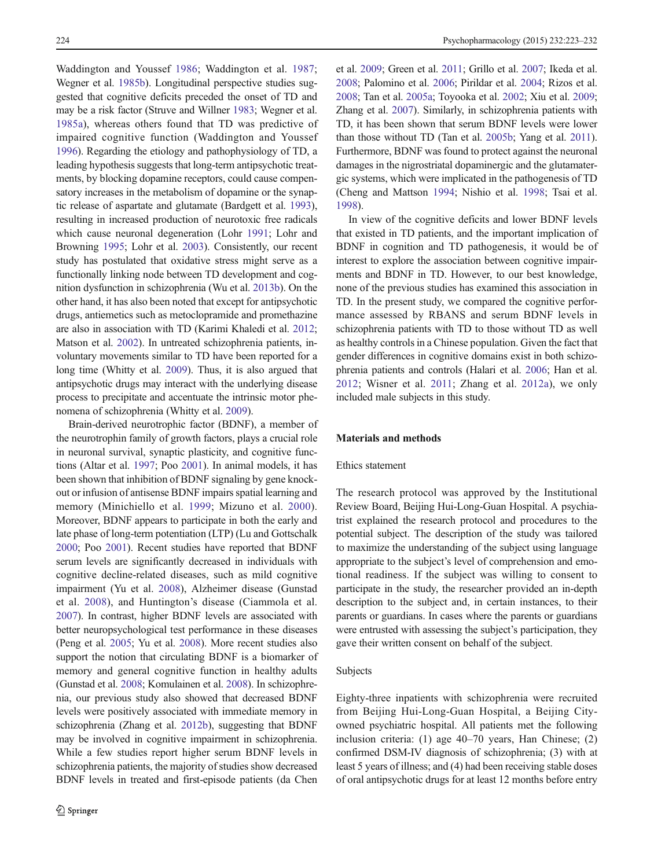Waddington and Youssef [1986;](#page-9-0) Waddington et al. [1987](#page-9-0); Wegner et al. [1985b](#page-9-0)). Longitudinal perspective studies suggested that cognitive deficits preceded the onset of TD and may be a risk factor (Struve and Willner [1983;](#page-8-0) Wegner et al. [1985a\)](#page-9-0), whereas others found that TD was predictive of impaired cognitive function (Waddington and Youssef [1996\)](#page-9-0). Regarding the etiology and pathophysiology of TD, a leading hypothesis suggests that long-term antipsychotic treatments, by blocking dopamine receptors, could cause compensatory increases in the metabolism of dopamine or the synaptic release of aspartate and glutamate (Bardgett et al. [1993\)](#page-7-0), resulting in increased production of neurotoxic free radicals which cause neuronal degeneration (Lohr [1991;](#page-8-0) Lohr and Browning [1995](#page-8-0); Lohr et al. [2003\)](#page-8-0). Consistently, our recent study has postulated that oxidative stress might serve as a functionally linking node between TD development and cognition dysfunction in schizophrenia (Wu et al. [2013b\)](#page-9-0). On the other hand, it has also been noted that except for antipsychotic drugs, antiemetics such as metoclopramide and promethazine are also in association with TD (Karimi Khaledi et al. [2012](#page-8-0); Matson et al. [2002](#page-8-0)). In untreated schizophrenia patients, involuntary movements similar to TD have been reported for a long time (Whitty et al. [2009\)](#page-9-0). Thus, it is also argued that antipsychotic drugs may interact with the underlying disease process to precipitate and accentuate the intrinsic motor phenomena of schizophrenia (Whitty et al. [2009](#page-9-0)).

Brain-derived neurotrophic factor (BDNF), a member of the neurotrophin family of growth factors, plays a crucial role in neuronal survival, synaptic plasticity, and cognitive functions (Altar et al. [1997](#page-7-0); Poo [2001\)](#page-8-0). In animal models, it has been shown that inhibition of BDNF signaling by gene knockout or infusion of antisense BDNF impairs spatial learning and memory (Minichiello et al. [1999](#page-8-0); Mizuno et al. [2000](#page-8-0)). Moreover, BDNF appears to participate in both the early and late phase of long-term potentiation (LTP) (Lu and Gottschalk [2000;](#page-8-0) Poo [2001\)](#page-8-0). Recent studies have reported that BDNF serum levels are significantly decreased in individuals with cognitive decline-related diseases, such as mild cognitive impairment (Yu et al. [2008](#page-9-0)), Alzheimer disease (Gunstad et al. [2008](#page-7-0)), and Huntington's disease (Ciammola et al. [2007\)](#page-7-0). In contrast, higher BDNF levels are associated with better neuropsychological test performance in these diseases (Peng et al. [2005;](#page-8-0) Yu et al. [2008\)](#page-9-0). More recent studies also support the notion that circulating BDNF is a biomarker of memory and general cognitive function in healthy adults (Gunstad et al. [2008;](#page-7-0) Komulainen et al. [2008\)](#page-8-0). In schizophrenia, our previous study also showed that decreased BDNF levels were positively associated with immediate memory in schizophrenia (Zhang et al. [2012b](#page-9-0)), suggesting that BDNF may be involved in cognitive impairment in schizophrenia. While a few studies report higher serum BDNF levels in schizophrenia patients, the majority of studies show decreased BDNF levels in treated and first-episode patients (da Chen

et al. [2009;](#page-7-0) Green et al. [2011;](#page-7-0) Grillo et al. [2007;](#page-7-0) Ikeda et al. [2008;](#page-7-0) Palomino et al. [2006;](#page-8-0) Pirildar et al. [2004;](#page-8-0) Rizos et al. [2008;](#page-8-0) Tan et al. [2005a;](#page-8-0) Toyooka et al. [2002](#page-8-0); Xiu et al. [2009;](#page-9-0) Zhang et al. [2007\)](#page-9-0). Similarly, in schizophrenia patients with TD, it has been shown that serum BDNF levels were lower than those without TD (Tan et al. [2005b](#page-8-0); Yang et al. [2011\)](#page-9-0). Furthermore, BDNF was found to protect against the neuronal damages in the nigrostriatal dopaminergic and the glutamatergic systems, which were implicated in the pathogenesis of TD (Cheng and Mattson [1994](#page-7-0); Nishio et al. [1998](#page-8-0); Tsai et al. [1998\)](#page-8-0).

In view of the cognitive deficits and lower BDNF levels that existed in TD patients, and the important implication of BDNF in cognition and TD pathogenesis, it would be of interest to explore the association between cognitive impairments and BDNF in TD. However, to our best knowledge, none of the previous studies has examined this association in TD. In the present study, we compared the cognitive performance assessed by RBANS and serum BDNF levels in schizophrenia patients with TD to those without TD as well as healthy controls in a Chinese population. Given the fact that gender differences in cognitive domains exist in both schizophrenia patients and controls (Halari et al. [2006](#page-7-0); Han et al. [2012](#page-7-0); Wisner et al. [2011](#page-9-0); Zhang et al. [2012a](#page-9-0)), we only included male subjects in this study.

### Materials and methods

## Ethics statement

The research protocol was approved by the Institutional Review Board, Beijing Hui-Long-Guan Hospital. A psychiatrist explained the research protocol and procedures to the potential subject. The description of the study was tailored to maximize the understanding of the subject using language appropriate to the subject's level of comprehension and emotional readiness. If the subject was willing to consent to participate in the study, the researcher provided an in-depth description to the subject and, in certain instances, to their parents or guardians. In cases where the parents or guardians were entrusted with assessing the subject's participation, they gave their written consent on behalf of the subject.

#### Subjects

Eighty-three inpatients with schizophrenia were recruited from Beijing Hui-Long-Guan Hospital, a Beijing Cityowned psychiatric hospital. All patients met the following inclusion criteria: (1) age 40–70 years, Han Chinese; (2) confirmed DSM-IV diagnosis of schizophrenia; (3) with at least 5 years of illness; and (4) had been receiving stable doses of oral antipsychotic drugs for at least 12 months before entry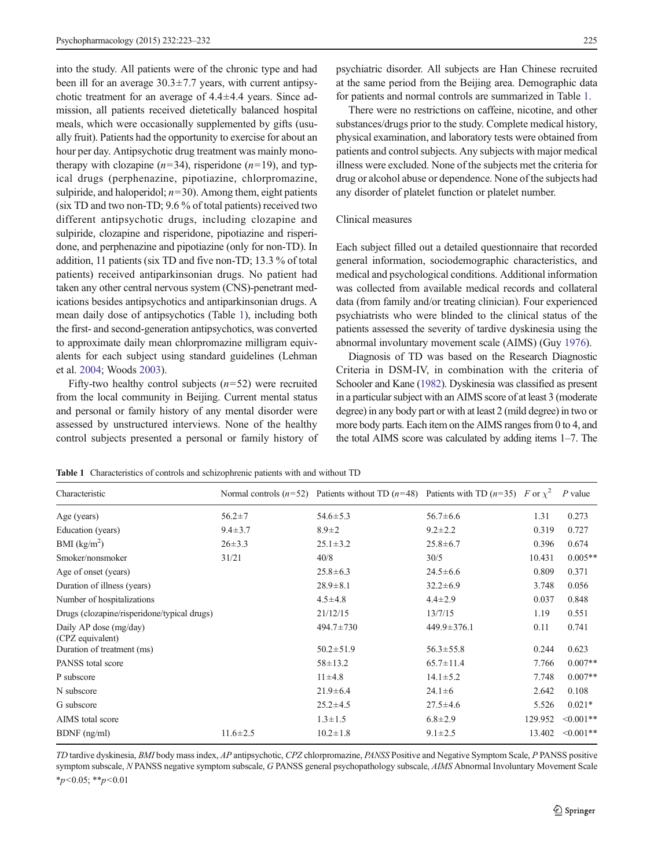<span id="page-2-0"></span>into the study. All patients were of the chronic type and had been ill for an average  $30.3 \pm 7.7$  years, with current antipsychotic treatment for an average of 4.4±4.4 years. Since admission, all patients received dietetically balanced hospital meals, which were occasionally supplemented by gifts (usually fruit). Patients had the opportunity to exercise for about an hour per day. Antipsychotic drug treatment was mainly monotherapy with clozapine  $(n=34)$ , risperidone  $(n=19)$ , and typical drugs (perphenazine, pipotiazine, chlorpromazine, sulpiride, and haloperidol;  $n=30$ ). Among them, eight patients (six TD and two non-TD; 9.6 % of total patients) received two different antipsychotic drugs, including clozapine and sulpiride, clozapine and risperidone, pipotiazine and risperidone, and perphenazine and pipotiazine (only for non-TD). In addition, 11 patients (six TD and five non-TD; 13.3 % of total patients) received antiparkinsonian drugs. No patient had taken any other central nervous system (CNS)-penetrant medications besides antipsychotics and antiparkinsonian drugs. A mean daily dose of antipsychotics (Table 1), including both the first- and second-generation antipsychotics, was converted to approximate daily mean chlorpromazine milligram equivalents for each subject using standard guidelines (Lehman et al. [2004](#page-8-0); Woods [2003\)](#page-9-0).

Fifty-two healthy control subjects  $(n=52)$  were recruited from the local community in Beijing. Current mental status and personal or family history of any mental disorder were assessed by unstructured interviews. None of the healthy control subjects presented a personal or family history of psychiatric disorder. All subjects are Han Chinese recruited at the same period from the Beijing area. Demographic data for patients and normal controls are summarized in Table 1.

There were no restrictions on caffeine, nicotine, and other substances/drugs prior to the study. Complete medical history, physical examination, and laboratory tests were obtained from patients and control subjects. Any subjects with major medical illness were excluded. None of the subjects met the criteria for drug or alcohol abuse or dependence. None of the subjects had any disorder of platelet function or platelet number.

# Clinical measures

Each subject filled out a detailed questionnaire that recorded general information, sociodemographic characteristics, and medical and psychological conditions. Additional information was collected from available medical records and collateral data (from family and/or treating clinician). Four experienced psychiatrists who were blinded to the clinical status of the patients assessed the severity of tardive dyskinesia using the abnormal involuntary movement scale (AIMS) (Guy [1976\)](#page-7-0).

Diagnosis of TD was based on the Research Diagnostic Criteria in DSM-IV, in combination with the criteria of Schooler and Kane [\(1982\)](#page-8-0). Dyskinesia was classified as present in a particular subject with an AIMS score of at least 3 (moderate degree) in any body part or with at least 2 (mild degree) in two or more body parts. Each item on the AIMS ranges from 0 to 4, and the total AIMS score was calculated by adding items 1–7. The

Table 1 Characteristics of controls and schizophrenic patients with and without TD

| Characteristic                              |                | Normal controls ( $n=52$ ) Patients without TD ( $n=48$ ) Patients with TD ( $n=35$ ) F or $\chi^2$ |                   |         | $P$ value      |
|---------------------------------------------|----------------|-----------------------------------------------------------------------------------------------------|-------------------|---------|----------------|
| Age (years)                                 | $56.2 \pm 7$   | $54.6 \pm 5.3$                                                                                      | $56.7 \pm 6.6$    | 1.31    | 0.273          |
| Education (years)                           | $9.4 \pm 3.7$  | $8.9 \pm 2$                                                                                         | $9.2 \pm 2.2$     | 0.319   | 0.727          |
| BMI (kg/m <sup>2</sup> )                    | $26 \pm 3.3$   | $25.1 \pm 3.2$                                                                                      | $25.8 \pm 6.7$    | 0.396   | 0.674          |
| Smoker/nonsmoker                            | 31/21          | 40/8                                                                                                | 30/5              | 10.431  | $0.005**$      |
| Age of onset (years)                        |                | $25.8 \pm 6.3$                                                                                      | $24.5 \pm 6.6$    | 0.809   | 0.371          |
| Duration of illness (years)                 |                | $28.9 \pm 8.1$                                                                                      | $32.2 \pm 6.9$    | 3.748   | 0.056          |
| Number of hospitalizations                  |                | $4.5 \pm 4.8$                                                                                       | $4.4 \pm 2.9$     | 0.037   | 0.848          |
| Drugs (clozapine/risperidone/typical drugs) |                | 21/12/15                                                                                            | 13/7/15           | 1.19    | 0.551          |
| Daily AP dose (mg/day)<br>(CPZ equivalent)  |                | $494.7 \pm 730$                                                                                     | $449.9 \pm 376.1$ | 0.11    | 0.741          |
| Duration of treatment (ms)                  |                | $50.2 \pm 51.9$                                                                                     | $56.3 \pm 55.8$   | 0.244   | 0.623          |
| PANSS total score                           |                | $58 \pm 13.2$                                                                                       | $65.7 \pm 11.4$   | 7.766   | $0.007**$      |
| P subscore                                  |                | $11 \pm 4.8$                                                                                        | $14.1 \pm 5.2$    | 7.748   | $0.007**$      |
| N subscore                                  |                | $21.9 \pm 6.4$                                                                                      | $24.1 \pm 6$      | 2.642   | 0.108          |
| G subscore                                  |                | $25.2 \pm 4.5$                                                                                      | $27.5 \pm 4.6$    | 5.526   | $0.021*$       |
| AIMS total score                            |                | $1.3 \pm 1.5$                                                                                       | $6.8 \pm 2.9$     | 129.952 | $\leq 0.001**$ |
| BDNF (ng/ml)                                | $11.6 \pm 2.5$ | $10.2 \pm 1.8$                                                                                      | $9.1 \pm 2.5$     | 13.402  | $<0.001**$     |

TD tardive dyskinesia, BMI body mass index, AP antipsychotic, CPZ chlorpromazine, PANSS Positive and Negative Symptom Scale, P PANSS positive symptom subscale, N PANSS negative symptom subscale, G PANSS general psychopathology subscale, AIMS Abnormal Involuntary Movement Scale  $*_{p<0.05;}$   $*_{p<0.01}$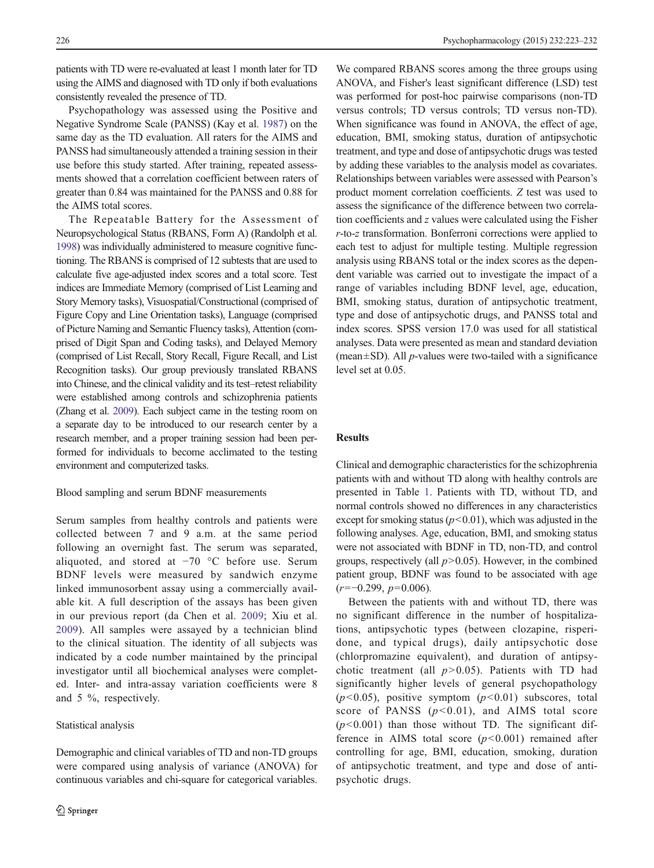patients with TD were re-evaluated at least 1 month later for TD using the AIMS and diagnosed with TD only if both evaluations consistently revealed the presence of TD.

Psychopathology was assessed using the Positive and Negative Syndrome Scale (PANSS) (Kay et al. [1987](#page-8-0)) on the same day as the TD evaluation. All raters for the AIMS and PANSS had simultaneously attended a training session in their use before this study started. After training, repeated assessments showed that a correlation coefficient between raters of greater than 0.84 was maintained for the PANSS and 0.88 for the AIMS total scores.

The Repeatable Battery for the Assessment of Neuropsychological Status (RBANS, Form A) (Randolph et al. [1998\)](#page-8-0) was individually administered to measure cognitive functioning. The RBANS is comprised of 12 subtests that are used to calculate five age-adjusted index scores and a total score. Test indices are Immediate Memory (comprised of List Learning and Story Memory tasks), Visuospatial/Constructional (comprised of Figure Copy and Line Orientation tasks), Language (comprised of Picture Naming and Semantic Fluency tasks), Attention (comprised of Digit Span and Coding tasks), and Delayed Memory (comprised of List Recall, Story Recall, Figure Recall, and List Recognition tasks). Our group previously translated RBANS into Chinese, and the clinical validity and its test–retest reliability were established among controls and schizophrenia patients (Zhang et al. [2009\)](#page-9-0). Each subject came in the testing room on a separate day to be introduced to our research center by a research member, and a proper training session had been performed for individuals to become acclimated to the testing environment and computerized tasks.

# Blood sampling and serum BDNF measurements

Serum samples from healthy controls and patients were collected between 7 and 9 a.m. at the same period following an overnight fast. The serum was separated, aliquoted, and stored at −70 °C before use. Serum BDNF levels were measured by sandwich enzyme linked immunosorbent assay using a commercially available kit. A full description of the assays has been given in our previous report (da Chen et al. [2009](#page-7-0); Xiu et al. [2009](#page-9-0)). All samples were assayed by a technician blind to the clinical situation. The identity of all subjects was indicated by a code number maintained by the principal investigator until all biochemical analyses were completed. Inter- and intra-assay variation coefficients were 8 and 5 %, respectively.

#### Statistical analysis

Demographic and clinical variables of TD and non-TD groups were compared using analysis of variance (ANOVA) for continuous variables and chi-square for categorical variables.

We compared RBANS scores among the three groups using ANOVA, and Fisher's least significant difference (LSD) test was performed for post-hoc pairwise comparisons (non-TD versus controls; TD versus controls; TD versus non-TD). When significance was found in ANOVA, the effect of age, education, BMI, smoking status, duration of antipsychotic treatment, and type and dose of antipsychotic drugs was tested by adding these variables to the analysis model as covariates. Relationships between variables were assessed with Pearson's product moment correlation coefficients. Z test was used to assess the significance of the difference between two correlation coefficients and z values were calculated using the Fisher r-to-z transformation. Bonferroni corrections were applied to each test to adjust for multiple testing. Multiple regression analysis using RBANS total or the index scores as the dependent variable was carried out to investigate the impact of a range of variables including BDNF level, age, education, BMI, smoking status, duration of antipsychotic treatment, type and dose of antipsychotic drugs, and PANSS total and index scores. SPSS version 17.0 was used for all statistical analyses. Data were presented as mean and standard deviation (mean $\pm$ SD). All *p*-values were two-tailed with a significance level set at 0.05.

# Results

Clinical and demographic characteristics for the schizophrenia patients with and without TD along with healthy controls are presented in Table [1](#page-2-0). Patients with TD, without TD, and normal controls showed no differences in any characteristics except for smoking status ( $p$ <0.01), which was adjusted in the following analyses. Age, education, BMI, and smoking status were not associated with BDNF in TD, non-TD, and control groups, respectively (all  $p > 0.05$ ). However, in the combined patient group, BDNF was found to be associated with age  $(r=-0.299, p=0.006)$ .

Between the patients with and without TD, there was no significant difference in the number of hospitalizations, antipsychotic types (between clozapine, risperidone, and typical drugs), daily antipsychotic dose (chlorpromazine equivalent), and duration of antipsychotic treatment (all  $p > 0.05$ ). Patients with TD had significantly higher levels of general psychopathology  $(p<0.05)$ , positive symptom  $(p<0.01)$  subscores, total score of PANSS  $(p<0.01)$ , and AIMS total score  $(p<0.001)$  than those without TD. The significant difference in AIMS total score  $(p<0.001)$  remained after controlling for age, BMI, education, smoking, duration of antipsychotic treatment, and type and dose of antipsychotic drugs.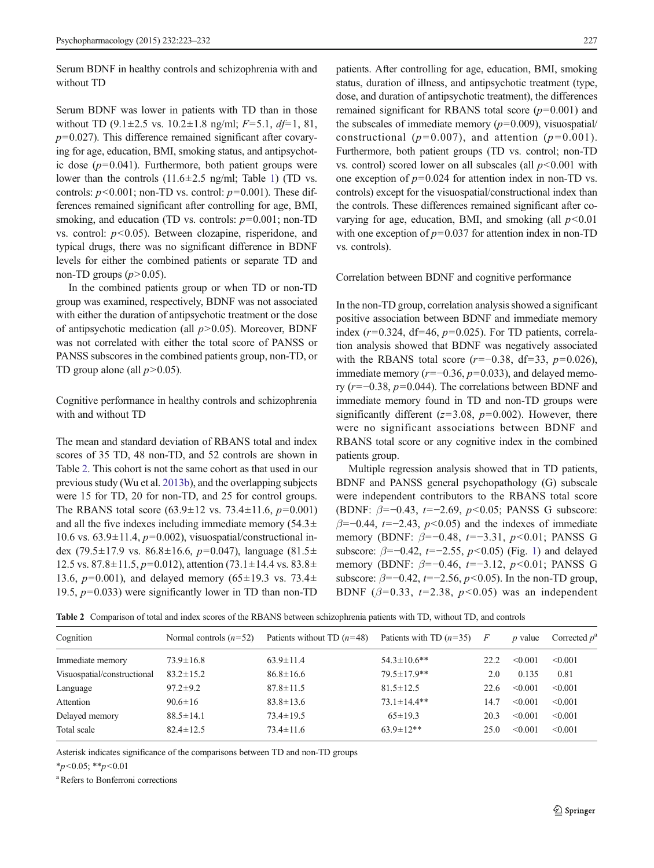<span id="page-4-0"></span>Serum BDNF in healthy controls and schizophrenia with and without TD

Serum BDNF was lower in patients with TD than in those without TD (9.1 $\pm$ 2.5 vs. 10.2 $\pm$ 1.8 ng/ml; F=5.1, df=1, 81,  $p=0.027$ ). This difference remained significant after covarying for age, education, BMI, smoking status, and antipsychotic dose  $(p=0.041)$ . Furthermore, both patient groups were lower than the controls  $(11.6 \pm 2.5 \text{ ng/ml}; \text{Table 1})$  (TD vs. controls:  $p<0.001$ ; non-TD vs. control:  $p=0.001$ ). These differences remained significant after controlling for age, BMI, smoking, and education (TD vs. controls:  $p=0.001$ ; non-TD vs. control:  $p < 0.05$ ). Between clozapine, risperidone, and typical drugs, there was no significant difference in BDNF levels for either the combined patients or separate TD and non-TD groups  $(p>0.05)$ .

In the combined patients group or when TD or non-TD group was examined, respectively, BDNF was not associated with either the duration of antipsychotic treatment or the dose of antipsychotic medication (all  $p > 0.05$ ). Moreover, BDNF was not correlated with either the total score of PANSS or PANSS subscores in the combined patients group, non-TD, or TD group alone (all  $p > 0.05$ ).

Cognitive performance in healthy controls and schizophrenia with and without TD

The mean and standard deviation of RBANS total and index scores of 35 TD, 48 non-TD, and 52 controls are shown in Table 2. This cohort is not the same cohort as that used in our previous study (Wu et al. [2013b\)](#page-9-0), and the overlapping subjects were 15 for TD, 20 for non-TD, and 25 for control groups. The RBANS total score  $(63.9 \pm 12 \text{ vs. } 73.4 \pm 11.6, p=0.001)$ and all the five indexes including immediate memory  $(54.3\pm$ 10.6 vs.  $63.9 \pm 11.4$ ,  $p=0.002$ ), visuospatial/constructional index (79.5 $\pm$ 17.9 vs. 86.8 $\pm$ 16.6, p=0.047), language (81.5 $\pm$ 12.5 vs.  $87.8 \pm 11.5$ ,  $p=0.012$ ), attention  $(73.1 \pm 14.4$  vs.  $83.8 \pm 11.5$ 13.6,  $p=0.001$ ), and delayed memory (65±19.3 vs. 73.4± 19.5,  $p=0.033$ ) were significantly lower in TD than non-TD patients. After controlling for age, education, BMI, smoking status, duration of illness, and antipsychotic treatment (type, dose, and duration of antipsychotic treatment), the differences remained significant for RBANS total score  $(p=0.001)$  and the subscales of immediate memory  $(p=0.009)$ , visuospatial/ constructional ( $p=0.007$ ), and attention ( $p=0.001$ ). Furthermore, both patient groups (TD vs. control; non-TD vs. control) scored lower on all subscales (all  $p<0.001$  with one exception of  $p=0.024$  for attention index in non-TD vs. controls) except for the visuospatial/constructional index than the controls. These differences remained significant after covarying for age, education, BMI, and smoking (all  $p<0.01$ ) with one exception of  $p=0.037$  for attention index in non-TD vs. controls).

Correlation between BDNF and cognitive performance

In the non-TD group, correlation analysis showed a significant positive association between BDNF and immediate memory index ( $r=0.324$ , df=46,  $p=0.025$ ). For TD patients, correlation analysis showed that BDNF was negatively associated with the RBANS total score ( $r=-0.38$ , df=33,  $p=0.026$ ), immediate memory ( $r=-0.36$ ,  $p=0.033$ ), and delayed memory ( $r=-0.38$ ,  $p=0.044$ ). The correlations between BDNF and immediate memory found in TD and non-TD groups were significantly different ( $z=3.08$ ,  $p=0.002$ ). However, there were no significant associations between BDNF and RBANS total score or any cognitive index in the combined patients group.

Multiple regression analysis showed that in TD patients, BDNF and PANSS general psychopathology (G) subscale were independent contributors to the RBANS total score (BDNF:  $\beta$ =−0.43, t=−2.69, p<0.05; PANSS G subscore:  $\beta$ =−0.44, t=−2.43, p<0.05) and the indexes of immediate memory (BDNF:  $\beta$ =−0.48, t=−3.31, p<0.01; PANSS G subscore:  $\beta$ =−0.42, t=−2.55, p<0.05) (Fig. [1](#page-5-0)) and delayed memory (BDNF:  $\beta$ =−0.46, t=−3.12, p<0.01; PANSS G subscore:  $\beta = -0.42$ ,  $t = -2.56$ ,  $p < 0.05$ ). In the non-TD group, BDNF ( $\beta$ =0.33, t=2.38, p<0.05) was an independent

|  | <b>Table 2</b> Comparison of total and index scores of the RBANS between schizophrenia patients with TD, without TD, and controls |  |  |  |  |  |  |
|--|-----------------------------------------------------------------------------------------------------------------------------------|--|--|--|--|--|--|
|--|-----------------------------------------------------------------------------------------------------------------------------------|--|--|--|--|--|--|

| Cognition                   | Normal controls $(n=52)$ | Patients without TD $(n=48)$ | Patients with TD $(n=35)$ F |      | <i>p</i> value | Corrected $p^a$ |
|-----------------------------|--------------------------|------------------------------|-----------------------------|------|----------------|-----------------|
| Immediate memory            | $73.9 \pm 16.8$          | $63.9 \pm 11.4$              | $54.3 \pm 10.6$ **          | 22.2 | < 0.001        | < 0.001         |
| Visuospatial/constructional | $83.2 \pm 15.2$          | $86.8 \pm 16.6$              | $79.5 \pm 17.9$ **          | 2.0  | 0.135          | 0.81            |
| Language                    | $97.2 \pm 9.2$           | $87.8 \pm 11.5$              | $81.5 \pm 12.5$             | 22.6 | < 0.001        | < 0.001         |
| Attention                   | $90.6 \pm 16$            | $83.8 \pm 13.6$              | $73.1 \pm 14.4**$           | 14.7 | < 0.001        | < 0.001         |
| Delayed memory              | $88.5 \pm 14.1$          | $73.4 \pm 19.5$              | $65 \pm 19.3$               | 20.3 | < 0.001        | < 0.001         |
| Total scale                 | $82.4 \pm 12.5$          | $73.4 \pm 11.6$              | $63.9 \pm 12**$             | 25.0 | < 0.001        | < 0.001         |
|                             |                          |                              |                             |      |                |                 |

Asterisk indicates significance of the comparisons between TD and non-TD groups

 $*_{p<0.05;}$   $*_{p<0.01}$ 

a Refers to Bonferroni corrections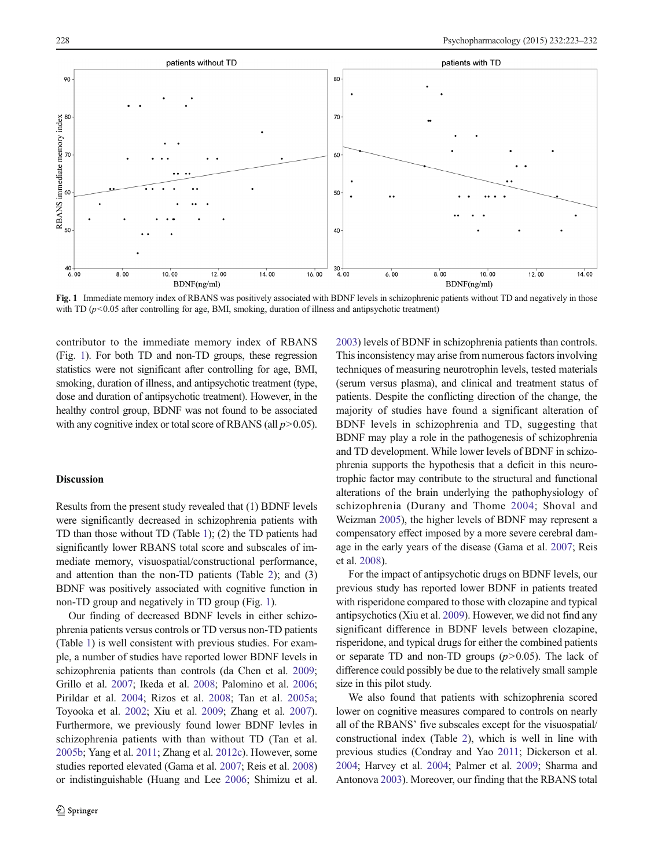<span id="page-5-0"></span>

Fig. 1 Immediate memory index of RBANS was positively associated with BDNF levels in schizophrenic patients without TD and negatively in those with TD  $(p<0.05$  after controlling for age, BMI, smoking, duration of illness and antipsychotic treatment)

contributor to the immediate memory index of RBANS (Fig. 1). For both TD and non-TD groups, these regression statistics were not significant after controlling for age, BMI, smoking, duration of illness, and antipsychotic treatment (type, dose and duration of antipsychotic treatment). However, in the healthy control group, BDNF was not found to be associated with any cognitive index or total score of RBANS (all  $p > 0.05$ ).

### **Discussion**

Results from the present study revealed that (1) BDNF levels were significantly decreased in schizophrenia patients with TD than those without TD (Table [1\)](#page-2-0); (2) the TD patients had significantly lower RBANS total score and subscales of immediate memory, visuospatial/constructional performance, and attention than the non-TD patients (Table [2](#page-4-0)); and (3) BDNF was positively associated with cognitive function in non-TD group and negatively in TD group (Fig. 1).

Our finding of decreased BDNF levels in either schizophrenia patients versus controls or TD versus non-TD patients (Table [1](#page-2-0)) is well consistent with previous studies. For example, a number of studies have reported lower BDNF levels in schizophrenia patients than controls (da Chen et al. [2009](#page-7-0); Grillo et al. [2007;](#page-7-0) Ikeda et al. [2008;](#page-7-0) Palomino et al. [2006](#page-8-0); Pirildar et al. [2004;](#page-8-0) Rizos et al. [2008](#page-8-0); Tan et al. [2005a](#page-8-0); Toyooka et al. [2002;](#page-8-0) Xiu et al. [2009](#page-9-0); Zhang et al. [2007\)](#page-9-0). Furthermore, we previously found lower BDNF levles in schizophrenia patients with than without TD (Tan et al. [2005b](#page-8-0); Yang et al. [2011](#page-9-0); Zhang et al. [2012c](#page-9-0)). However, some studies reported elevated (Gama et al. [2007;](#page-7-0) Reis et al. [2008\)](#page-8-0) or indistinguishable (Huang and Lee [2006;](#page-7-0) Shimizu et al. [2003\)](#page-8-0) levels of BDNF in schizophrenia patients than controls. This inconsistency may arise from numerous factors involving techniques of measuring neurotrophin levels, tested materials (serum versus plasma), and clinical and treatment status of patients. Despite the conflicting direction of the change, the majority of studies have found a significant alteration of BDNF levels in schizophrenia and TD, suggesting that BDNF may play a role in the pathogenesis of schizophrenia and TD development. While lower levels of BDNF in schizophrenia supports the hypothesis that a deficit in this neurotrophic factor may contribute to the structural and functional alterations of the brain underlying the pathophysiology of schizophrenia (Durany and Thome [2004;](#page-7-0) Shoval and Weizman [2005](#page-8-0)), the higher levels of BDNF may represent a compensatory effect imposed by a more severe cerebral damage in the early years of the disease (Gama et al. [2007](#page-7-0); Reis et al. [2008](#page-8-0)).

For the impact of antipsychotic drugs on BDNF levels, our previous study has reported lower BDNF in patients treated with risperidone compared to those with clozapine and typical antipsychotics (Xiu et al. [2009\)](#page-9-0). However, we did not find any significant difference in BDNF levels between clozapine, risperidone, and typical drugs for either the combined patients or separate TD and non-TD groups  $(p>0.05)$ . The lack of difference could possibly be due to the relatively small sample size in this pilot study.

We also found that patients with schizophrenia scored lower on cognitive measures compared to controls on nearly all of the RBANS' five subscales except for the visuospatial/ constructional index (Table [2](#page-4-0)), which is well in line with previous studies (Condray and Yao [2011;](#page-7-0) Dickerson et al. [2004;](#page-7-0) Harvey et al. [2004](#page-7-0); Palmer et al. [2009;](#page-8-0) Sharma and Antonova [2003](#page-8-0)). Moreover, our finding that the RBANS total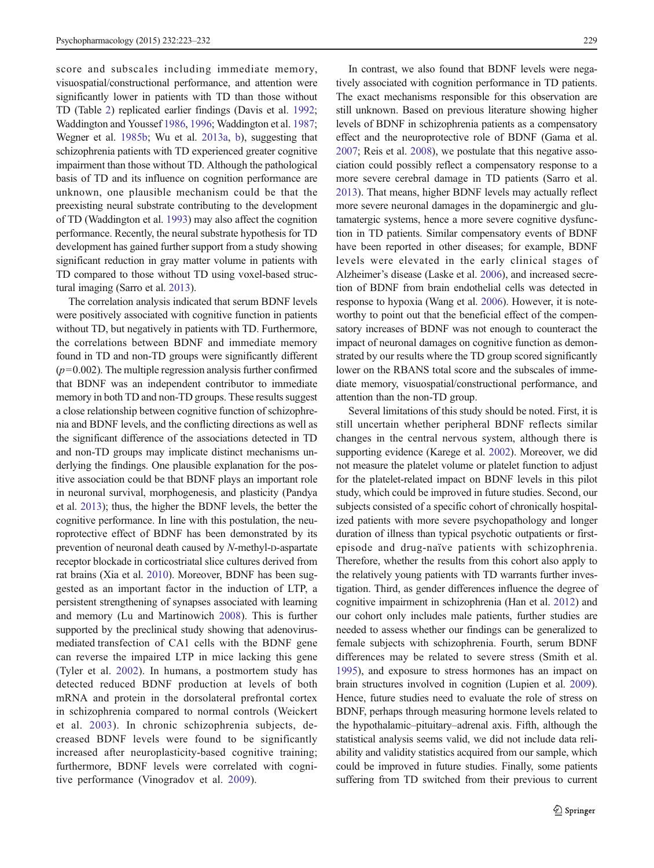score and subscales including immediate memory, visuospatial/constructional performance, and attention were significantly lower in patients with TD than those without TD (Table [2](#page-4-0)) replicated earlier findings (Davis et al. [1992](#page-7-0); Waddington and Youssef [1986,](#page-9-0) [1996;](#page-9-0) Waddington et al. [1987](#page-9-0); Wegner et al. [1985b](#page-9-0); Wu et al. [2013a,](#page-9-0) [b](#page-9-0)), suggesting that schizophrenia patients with TD experienced greater cognitive impairment than those without TD. Although the pathological basis of TD and its influence on cognition performance are unknown, one plausible mechanism could be that the preexisting neural substrate contributing to the development of TD (Waddington et al. [1993\)](#page-9-0) may also affect the cognition performance. Recently, the neural substrate hypothesis for TD development has gained further support from a study showing significant reduction in gray matter volume in patients with TD compared to those without TD using voxel-based structural imaging (Sarro et al. [2013](#page-8-0)).

The correlation analysis indicated that serum BDNF levels were positively associated with cognitive function in patients without TD, but negatively in patients with TD. Furthermore, the correlations between BDNF and immediate memory found in TD and non-TD groups were significantly different  $(p=0.002)$ . The multiple regression analysis further confirmed that BDNF was an independent contributor to immediate memory in both TD and non-TD groups. These results suggest a close relationship between cognitive function of schizophrenia and BDNF levels, and the conflicting directions as well as the significant difference of the associations detected in TD and non-TD groups may implicate distinct mechanisms underlying the findings. One plausible explanation for the positive association could be that BDNF plays an important role in neuronal survival, morphogenesis, and plasticity (Pandya et al. [2013\)](#page-8-0); thus, the higher the BDNF levels, the better the cognitive performance. In line with this postulation, the neuroprotective effect of BDNF has been demonstrated by its prevention of neuronal death caused by N-methyl-D-aspartate receptor blockade in corticostriatal slice cultures derived from rat brains (Xia et al. [2010](#page-9-0)). Moreover, BDNF has been suggested as an important factor in the induction of LTP, a persistent strengthening of synapses associated with learning and memory (Lu and Martinowich [2008\)](#page-8-0). This is further supported by the preclinical study showing that adenovirusmediated transfection of CA1 cells with the BDNF gene can reverse the impaired LTP in mice lacking this gene (Tyler et al. [2002](#page-8-0)). In humans, a postmortem study has detected reduced BDNF production at levels of both mRNA and protein in the dorsolateral prefrontal cortex in schizophrenia compared to normal controls (Weickert et al. [2003\)](#page-9-0). In chronic schizophrenia subjects, decreased BDNF levels were found to be significantly increased after neuroplasticity-based cognitive training; furthermore, BDNF levels were correlated with cognitive performance (Vinogradov et al. [2009](#page-8-0)).

In contrast, we also found that BDNF levels were negatively associated with cognition performance in TD patients. The exact mechanisms responsible for this observation are still unknown. Based on previous literature showing higher levels of BDNF in schizophrenia patients as a compensatory effect and the neuroprotective role of BDNF (Gama et al. [2007;](#page-7-0) Reis et al. [2008](#page-8-0)), we postulate that this negative association could possibly reflect a compensatory response to a more severe cerebral damage in TD patients (Sarro et al. [2013\)](#page-8-0). That means, higher BDNF levels may actually reflect more severe neuronal damages in the dopaminergic and glutamatergic systems, hence a more severe cognitive dysfunction in TD patients. Similar compensatory events of BDNF have been reported in other diseases; for example, BDNF levels were elevated in the early clinical stages of Alzheimer's disease (Laske et al. [2006](#page-8-0)), and increased secretion of BDNF from brain endothelial cells was detected in response to hypoxia (Wang et al. [2006\)](#page-9-0). However, it is noteworthy to point out that the beneficial effect of the compensatory increases of BDNF was not enough to counteract the impact of neuronal damages on cognitive function as demonstrated by our results where the TD group scored significantly lower on the RBANS total score and the subscales of immediate memory, visuospatial/constructional performance, and attention than the non-TD group.

Several limitations of this study should be noted. First, it is still uncertain whether peripheral BDNF reflects similar changes in the central nervous system, although there is supporting evidence (Karege et al. [2002\)](#page-8-0). Moreover, we did not measure the platelet volume or platelet function to adjust for the platelet-related impact on BDNF levels in this pilot study, which could be improved in future studies. Second, our subjects consisted of a specific cohort of chronically hospitalized patients with more severe psychopathology and longer duration of illness than typical psychotic outpatients or firstepisode and drug-naïve patients with schizophrenia. Therefore, whether the results from this cohort also apply to the relatively young patients with TD warrants further investigation. Third, as gender differences influence the degree of cognitive impairment in schizophrenia (Han et al. [2012\)](#page-7-0) and our cohort only includes male patients, further studies are needed to assess whether our findings can be generalized to female subjects with schizophrenia. Fourth, serum BDNF differences may be related to severe stress (Smith et al. [1995\)](#page-8-0), and exposure to stress hormones has an impact on brain structures involved in cognition (Lupien et al. [2009\)](#page-8-0). Hence, future studies need to evaluate the role of stress on BDNF, perhaps through measuring hormone levels related to the hypothalamic–pituitary–adrenal axis. Fifth, although the statistical analysis seems valid, we did not include data reliability and validity statistics acquired from our sample, which could be improved in future studies. Finally, some patients suffering from TD switched from their previous to current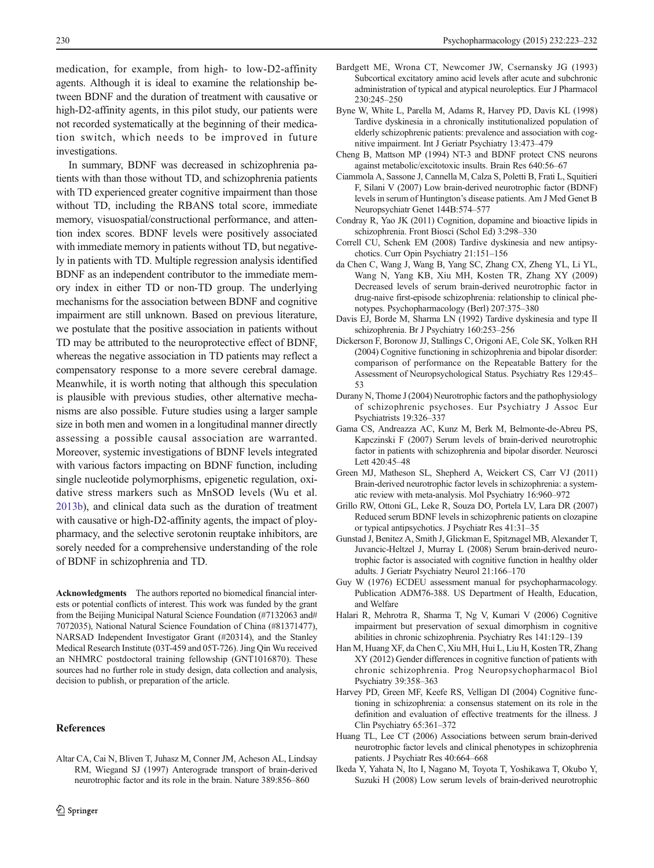<span id="page-7-0"></span>medication, for example, from high- to low-D2-affinity agents. Although it is ideal to examine the relationship between BDNF and the duration of treatment with causative or high-D2-affinity agents, in this pilot study, our patients were not recorded systematically at the beginning of their medication switch, which needs to be improved in future investigations.

In summary, BDNF was decreased in schizophrenia patients with than those without TD, and schizophrenia patients with TD experienced greater cognitive impairment than those without TD, including the RBANS total score, immediate memory, visuospatial/constructional performance, and attention index scores. BDNF levels were positively associated with immediate memory in patients without TD, but negatively in patients with TD. Multiple regression analysis identified BDNF as an independent contributor to the immediate memory index in either TD or non-TD group. The underlying mechanisms for the association between BDNF and cognitive impairment are still unknown. Based on previous literature, we postulate that the positive association in patients without TD may be attributed to the neuroprotective effect of BDNF, whereas the negative association in TD patients may reflect a compensatory response to a more severe cerebral damage. Meanwhile, it is worth noting that although this speculation is plausible with previous studies, other alternative mechanisms are also possible. Future studies using a larger sample size in both men and women in a longitudinal manner directly assessing a possible causal association are warranted. Moreover, systemic investigations of BDNF levels integrated with various factors impacting on BDNF function, including single nucleotide polymorphisms, epigenetic regulation, oxidative stress markers such as MnSOD levels (Wu et al. [2013b](#page-9-0)), and clinical data such as the duration of treatment with causative or high-D2-affinity agents, the impact of ploypharmacy, and the selective serotonin reuptake inhibitors, are sorely needed for a comprehensive understanding of the role of BDNF in schizophrenia and TD.

Acknowledgments The authors reported no biomedical financial interests or potential conflicts of interest. This work was funded by the grant from the Beijing Municipal Natural Science Foundation (#7132063 and# 7072035), National Natural Science Foundation of China (#81371477), NARSAD Independent Investigator Grant (#20314), and the Stanley Medical Research Institute (03T-459 and 05T-726). Jing Qin Wu received an NHMRC postdoctoral training fellowship (GNT1016870). These sources had no further role in study design, data collection and analysis, decision to publish, or preparation of the article.

## References

Altar CA, Cai N, Bliven T, Juhasz M, Conner JM, Acheson AL, Lindsay RM, Wiegand SJ (1997) Anterograde transport of brain-derived neurotrophic factor and its role in the brain. Nature 389:856–860

- Bardgett ME, Wrona CT, Newcomer JW, Csernansky JG (1993) Subcortical excitatory amino acid levels after acute and subchronic administration of typical and atypical neuroleptics. Eur J Pharmacol 230:245–250
- Byne W, White L, Parella M, Adams R, Harvey PD, Davis KL (1998) Tardive dyskinesia in a chronically institutionalized population of elderly schizophrenic patients: prevalence and association with cognitive impairment. Int J Geriatr Psychiatry 13:473–479
- Cheng B, Mattson MP (1994) NT-3 and BDNF protect CNS neurons against metabolic/excitotoxic insults. Brain Res 640:56–67
- Ciammola A, Sassone J, Cannella M, Calza S, Poletti B, Frati L, Squitieri F, Silani V (2007) Low brain-derived neurotrophic factor (BDNF) levels in serum of Huntington's disease patients. Am J Med Genet B Neuropsychiatr Genet 144B:574–577
- Condray R, Yao JK (2011) Cognition, dopamine and bioactive lipids in schizophrenia. Front Biosci (Schol Ed) 3:298–330
- Correll CU, Schenk EM (2008) Tardive dyskinesia and new antipsychotics. Curr Opin Psychiatry 21:151–156
- da Chen C, Wang J, Wang B, Yang SC, Zhang CX, Zheng YL, Li YL, Wang N, Yang KB, Xiu MH, Kosten TR, Zhang XY (2009) Decreased levels of serum brain-derived neurotrophic factor in drug-naive first-episode schizophrenia: relationship to clinical phenotypes. Psychopharmacology (Berl) 207:375–380
- Davis EJ, Borde M, Sharma LN (1992) Tardive dyskinesia and type II schizophrenia. Br J Psychiatry 160:253–256
- Dickerson F, Boronow JJ, Stallings C, Origoni AE, Cole SK, Yolken RH (2004) Cognitive functioning in schizophrenia and bipolar disorder: comparison of performance on the Repeatable Battery for the Assessment of Neuropsychological Status. Psychiatry Res 129:45– 53
- Durany N, Thome J (2004) Neurotrophic factors and the pathophysiology of schizophrenic psychoses. Eur Psychiatry J Assoc Eur Psychiatrists 19:326–337
- Gama CS, Andreazza AC, Kunz M, Berk M, Belmonte-de-Abreu PS, Kapczinski F (2007) Serum levels of brain-derived neurotrophic factor in patients with schizophrenia and bipolar disorder. Neurosci Lett 420:45–48
- Green MJ, Matheson SL, Shepherd A, Weickert CS, Carr VJ (2011) Brain-derived neurotrophic factor levels in schizophrenia: a systematic review with meta-analysis. Mol Psychiatry 16:960–972
- Grillo RW, Ottoni GL, Leke R, Souza DO, Portela LV, Lara DR (2007) Reduced serum BDNF levels in schizophrenic patients on clozapine or typical antipsychotics. J Psychiatr Res 41:31–35
- Gunstad J, Benitez A, Smith J, Glickman E, Spitznagel MB, Alexander T, Juvancic-Heltzel J, Murray L (2008) Serum brain-derived neurotrophic factor is associated with cognitive function in healthy older adults. J Geriatr Psychiatry Neurol 21:166–170
- Guy W (1976) ECDEU assessment manual for psychopharmacology. Publication ADM76-388. US Department of Health, Education, and Welfare
- Halari R, Mehrotra R, Sharma T, Ng V, Kumari V (2006) Cognitive impairment but preservation of sexual dimorphism in cognitive abilities in chronic schizophrenia. Psychiatry Res 141:129–139
- Han M, Huang XF, da Chen C, Xiu MH, Hui L, Liu H, Kosten TR, Zhang XY (2012) Gender differences in cognitive function of patients with chronic schizophrenia. Prog Neuropsychopharmacol Biol Psychiatry 39:358–363
- Harvey PD, Green MF, Keefe RS, Velligan DI (2004) Cognitive functioning in schizophrenia: a consensus statement on its role in the definition and evaluation of effective treatments for the illness. J Clin Psychiatry 65:361–372
- Huang TL, Lee CT (2006) Associations between serum brain-derived neurotrophic factor levels and clinical phenotypes in schizophrenia patients. J Psychiatr Res 40:664–668
- Ikeda Y, Yahata N, Ito I, Nagano M, Toyota T, Yoshikawa T, Okubo Y, Suzuki H (2008) Low serum levels of brain-derived neurotrophic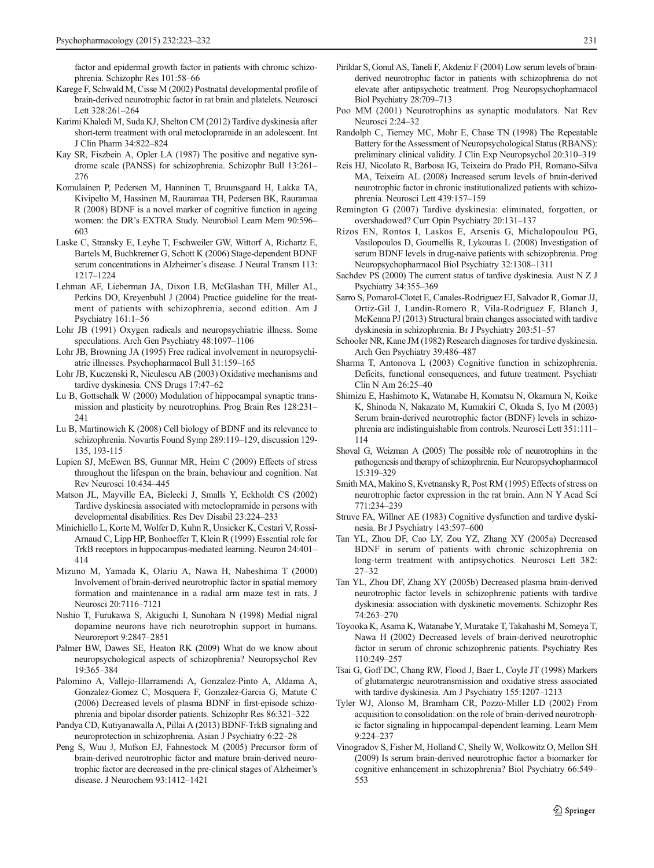<span id="page-8-0"></span>factor and epidermal growth factor in patients with chronic schizophrenia. Schizophr Res 101:58–66

- Karege F, Schwald M, Cisse M (2002) Postnatal developmental profile of brain-derived neurotrophic factor in rat brain and platelets. Neurosci Lett 328:261–264
- Karimi Khaledi M, Suda KJ, Shelton CM (2012) Tardive dyskinesia after short-term treatment with oral metoclopramide in an adolescent. Int J Clin Pharm 34:822–824
- Kay SR, Fiszbein A, Opler LA (1987) The positive and negative syndrome scale (PANSS) for schizophrenia. Schizophr Bull 13:261– 276
- Komulainen P, Pedersen M, Hanninen T, Bruunsgaard H, Lakka TA, Kivipelto M, Hassinen M, Rauramaa TH, Pedersen BK, Rauramaa R (2008) BDNF is a novel marker of cognitive function in ageing women: the DR's EXTRA Study. Neurobiol Learn Mem 90:596– 603
- Laske C, Stransky E, Leyhe T, Eschweiler GW, Wittorf A, Richartz E, Bartels M, Buchkremer G, Schott K (2006) Stage-dependent BDNF serum concentrations in Alzheimer's disease. J Neural Transm 113: 1217–1224
- Lehman AF, Lieberman JA, Dixon LB, McGlashan TH, Miller AL, Perkins DO, Kreyenbuhl J (2004) Practice guideline for the treatment of patients with schizophrenia, second edition. Am J Psychiatry 161:1–56
- Lohr JB (1991) Oxygen radicals and neuropsychiatric illness. Some speculations. Arch Gen Psychiatry 48:1097–1106
- Lohr JB, Browning JA (1995) Free radical involvement in neuropsychiatric illnesses. Psychopharmacol Bull 31:159–165
- Lohr JB, Kuczenski R, Niculescu AB (2003) Oxidative mechanisms and tardive dyskinesia. CNS Drugs 17:47–62
- Lu B, Gottschalk W (2000) Modulation of hippocampal synaptic transmission and plasticity by neurotrophins. Prog Brain Res 128:231– 241
- Lu B, Martinowich K (2008) Cell biology of BDNF and its relevance to schizophrenia. Novartis Found Symp 289:119–129, discussion 129- 135, 193-115
- Lupien SJ, McEwen BS, Gunnar MR, Heim C (2009) Effects of stress throughout the lifespan on the brain, behaviour and cognition. Nat Rev Neurosci 10:434–445
- Matson JL, Mayville EA, Bielecki J, Smalls Y, Eckholdt CS (2002) Tardive dyskinesia associated with metoclopramide in persons with developmental disabilities. Res Dev Disabil 23:224–233
- Minichiello L, Korte M, Wolfer D, Kuhn R, Unsicker K, Cestari V, Rossi-Arnaud C, Lipp HP, Bonhoeffer T, Klein R (1999) Essential role for TrkB receptors in hippocampus-mediated learning. Neuron 24:401– 414
- Mizuno M, Yamada K, Olariu A, Nawa H, Nabeshima T (2000) Involvement of brain-derived neurotrophic factor in spatial memory formation and maintenance in a radial arm maze test in rats. J Neurosci 20:7116–7121
- Nishio T, Furukawa S, Akiguchi I, Sunohara N (1998) Medial nigral dopamine neurons have rich neurotrophin support in humans. Neuroreport 9:2847–2851
- Palmer BW, Dawes SE, Heaton RK (2009) What do we know about neuropsychological aspects of schizophrenia? Neuropsychol Rev 19:365–384
- Palomino A, Vallejo-Illarramendi A, Gonzalez-Pinto A, Aldama A, Gonzalez-Gomez C, Mosquera F, Gonzalez-Garcia G, Matute C (2006) Decreased levels of plasma BDNF in first-episode schizophrenia and bipolar disorder patients. Schizophr Res 86:321–322
- Pandya CD, Kutiyanawalla A, Pillai A (2013) BDNF-TrkB signaling and neuroprotection in schizophrenia. Asian J Psychiatry 6:22–28
- Peng S, Wuu J, Mufson EJ, Fahnestock M (2005) Precursor form of brain-derived neurotrophic factor and mature brain-derived neurotrophic factor are decreased in the pre-clinical stages of Alzheimer's disease. J Neurochem 93:1412–1421
- Pirildar S, Gonul AS, Taneli F, Akdeniz F (2004) Low serum levels of brainderived neurotrophic factor in patients with schizophrenia do not elevate after antipsychotic treatment. Prog Neuropsychopharmacol Biol Psychiatry 28:709–713
- Poo MM (2001) Neurotrophins as synaptic modulators. Nat Rev Neurosci 2:24–32
- Randolph C, Tierney MC, Mohr E, Chase TN (1998) The Repeatable Battery for the Assessment of Neuropsychological Status (RBANS): preliminary clinical validity. J Clin Exp Neuropsychol 20:310–319
- Reis HJ, Nicolato R, Barbosa IG, Teixeira do Prado PH, Romano-Silva MA, Teixeira AL (2008) Increased serum levels of brain-derived neurotrophic factor in chronic institutionalized patients with schizophrenia. Neurosci Lett 439:157–159
- Remington G (2007) Tardive dyskinesia: eliminated, forgotten, or overshadowed? Curr Opin Psychiatry 20:131–137
- Rizos EN, Rontos I, Laskos E, Arsenis G, Michalopoulou PG, Vasilopoulos D, Gournellis R, Lykouras L (2008) Investigation of serum BDNF levels in drug-naive patients with schizophrenia. Prog Neuropsychopharmacol Biol Psychiatry 32:1308–1311
- Sachdev PS (2000) The current status of tardive dyskinesia. Aust N Z J Psychiatry 34:355–369
- Sarro S, Pomarol-Clotet E, Canales-Rodriguez EJ, Salvador R, Gomar JJ, Ortiz-Gil J, Landin-Romero R, Vila-Rodriguez F, Blanch J, McKenna PJ (2013) Structural brain changes associated with tardive dyskinesia in schizophrenia. Br J Psychiatry 203:51–57
- Schooler NR, Kane JM (1982) Research diagnoses for tardive dyskinesia. Arch Gen Psychiatry 39:486–487
- Sharma T, Antonova L (2003) Cognitive function in schizophrenia. Deficits, functional consequences, and future treatment. Psychiatr Clin N Am 26:25–40
- Shimizu E, Hashimoto K, Watanabe H, Komatsu N, Okamura N, Koike K, Shinoda N, Nakazato M, Kumakiri C, Okada S, Iyo M (2003) Serum brain-derived neurotrophic factor (BDNF) levels in schizophrenia are indistinguishable from controls. Neurosci Lett 351:111– 114
- Shoval G, Weizman A (2005) The possible role of neurotrophins in the pathogenesis and therapy of schizophrenia. Eur Neuropsychopharmacol 15:319–329
- Smith MA, Makino S, Kvetnansky R, Post RM (1995) Effects of stress on neurotrophic factor expression in the rat brain. Ann N Y Acad Sci 771:234–239
- Struve FA, Willner AE (1983) Cognitive dysfunction and tardive dyskinesia. Br J Psychiatry 143:597–600
- Tan YL, Zhou DF, Cao LY, Zou YZ, Zhang XY (2005a) Decreased BDNF in serum of patients with chronic schizophrenia on long-term treatment with antipsychotics. Neurosci Lett 382: 27–32
- Tan YL, Zhou DF, Zhang XY (2005b) Decreased plasma brain-derived neurotrophic factor levels in schizophrenic patients with tardive dyskinesia: association with dyskinetic movements. Schizophr Res 74:263–270
- Toyooka K, Asama K, Watanabe Y, Muratake T, Takahashi M, Someya T, Nawa H (2002) Decreased levels of brain-derived neurotrophic factor in serum of chronic schizophrenic patients. Psychiatry Res 110:249–257
- Tsai G, Goff DC, Chang RW, Flood J, Baer L, Coyle JT (1998) Markers of glutamatergic neurotransmission and oxidative stress associated with tardive dyskinesia. Am J Psychiatry 155:1207–1213
- Tyler WJ, Alonso M, Bramham CR, Pozzo-Miller LD (2002) From acquisition to consolidation: on the role of brain-derived neurotrophic factor signaling in hippocampal-dependent learning. Learn Mem 9:224–237
- Vinogradov S, Fisher M, Holland C, Shelly W, Wolkowitz O, Mellon SH (2009) Is serum brain-derived neurotrophic factor a biomarker for cognitive enhancement in schizophrenia? Biol Psychiatry 66:549– 553